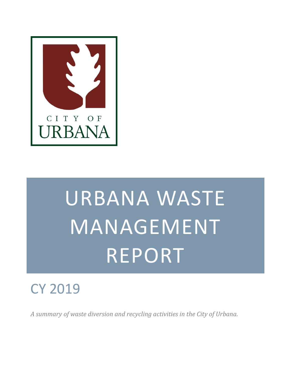

# URBANA WASTE MANAGEMENT REPORT

# CY 2019

*A summary of waste diversion and recycling activities in the City of Urbana.*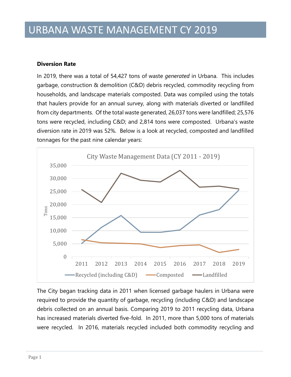#### **Diversion Rate**

In 2019, there was a total of 54,427 tons of waste *generated* in Urbana. This includes garbage, construction & demolition (C&D) debris recycled, commodity recycling from households, and landscape materials composted. Data was compiled using the totals that haulers provide for an annual survey, along with materials diverted or landfilled from city departments. Of the total waste generated, 26,037 tons were landfilled; 25,576 tons were recycled, including C&D; and 2,814 tons were composted. Urbana's waste diversion rate in 2019 was 52%. Below is a look at recycled, composted and landfilled tonnages for the past nine calendar years:



The City began tracking data in 2011 when licensed garbage haulers in Urbana were required to provide the quantity of garbage, recycling (including C&D) and landscape debris collected on an annual basis. Comparing 2019 to 2011 recycling data, Urbana has increased materials diverted five-fold. In 2011, more than 5,000 tons of materials were recycled. In 2016, materials recycled included both commodity recycling and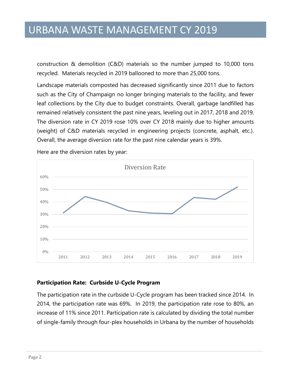construction & demolition (C&D) materials so the number jumped to 10,000 tons recycled. Materials recycled in 2019 ballooned to more than 25,000 tons.

Landscape materials composted has decreased significantly since 2011 due to factors such as the City of Champaign no longer bringing materials to the facility, and fewer leaf collections by the City due to budget constraints. Overall, garbage landfilled has remained relatively consistent the past nine years, leveling out in 2017, 2018 and 2019. The diversion rate in CY 2019 rose 10% over CY 2018 mainly due to higher amounts (weight) of C&D materials recycled in engineering projects (concrete, asphalt, etc.). Overall, the average diversion rate for the past nine calendar years is 39%.



Here are the diversion rates by year:

#### **Participation Rate: Curbside U-Cycle Program**

The participation rate in the curbside U-Cycle program has been tracked since 2014. In 2014, the participation rate was 69%. In 2019, the participation rate rose to 80%, an increase of 11% since 2011. Participation rate is calculated by dividing the total number of single-family through four-plex households in Urbana by the number of households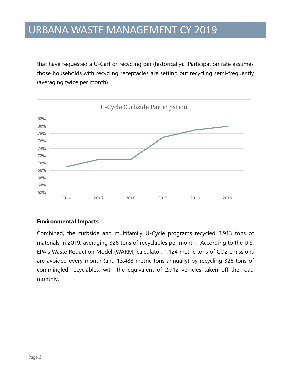that have requested a U-Cart or recycling bin (historically). Participation rate assumes those households with recycling receptacles are setting out recycling semi-frequently (averaging twice per month).



#### **Environmental Impacts**

Combined, the curbside and multifamily U-Cycle programs recycled 3,913 tons of materials in 2019, averaging 326 tons of recyclables per month. According to the U.S. EPA's Waste Reduction Model (WARM) calculator, 1,124 metric tons of CO2 emissions are avoided every month (and 13,488 metric tons annually) by recycling 326 tons of commingled recyclables; with the equivalent of 2,912 vehicles taken off the road monthly.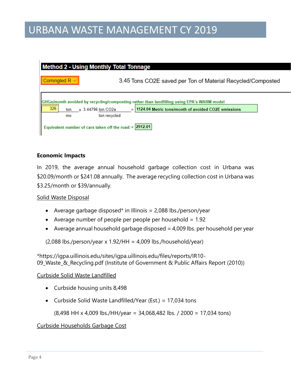| <b>Method 2 - Using Monthly Total Tonnage</b>                                             |                                                         |                                                             |  |
|-------------------------------------------------------------------------------------------|---------------------------------------------------------|-------------------------------------------------------------|--|
|                                                                                           | Comingled $R \vee$                                      | 3.45 Tons CO2E saved per Ton of Material Recycled/Composted |  |
| GHGs/month avoided by recycling/composting rather than landfilling using EPA's WARM model |                                                         |                                                             |  |
|                                                                                           | 326<br>x 3.44796 ton CO2e<br>ton                        | $=$ 1124.04 Metric tons/month of avoided CO2E emissions     |  |
|                                                                                           | ton recycled<br>mo                                      |                                                             |  |
|                                                                                           | Equivalent number of cars taken off the road: = 2912.01 |                                                             |  |

#### **Economic Impacts**

In 2019, the average annual household garbage collection cost in Urbana was \$20.09/month or \$241.08 annually. The average recycling collection cost in Urbana was \$3.25/month or \$39/annually.

#### Solid Waste Disposal

- Average garbage disposed\* in Illinois =  $2,088$  lbs./person/year
- Average number of people per people per household  $= 1.92$
- Average annual household garbage disposed  $=$  4,009 lbs. per household per year

 $(2,088$  lbs./person/year x 1.92/HH = 4,009 lbs./household/year)

\*https://igpa.uillinois.edu/sites/igpa.uillinois.edu/files/reports/IR10- 09\_Waste\_&\_Recycling.pdf (Institute of Government & Public Affairs Report (2010))

#### Curbside Solid Waste Landfilled

- Curbside housing units 8,498
- Curbside Solid Waste Landfilled/Year (Est.) = 17,034 tons

(8,498 HH x 4,009 lbs./HH/year = 34,068,482 lbs. / 2000 = 17,034 tons)

#### Curbside Households Garbage Cost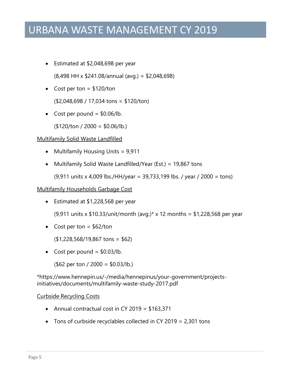• Estimated at \$2,048,698 per year

(8,498 HH x \$241.08/annual (avg.) = \$2,048,698)

• Cost per ton  $=$  \$120/ton

(\$2,048,698 / 17,034 tons = \$120/ton)

• Cost per pound  $=$  \$0.06/lb.

 $($120/ton / 2000 = $0.06/lb.)$ 

#### Multifamily Solid Waste Landfilled

- Multifamily Housing Units = 9,911
- Multifamily Solid Waste Landfilled/Year (Est.) = 19,867 tons

(9,911 units x 4,009 lbs./HH/year = 39,733,199 lbs. / year / 2000 = tons)

#### Multifamily Households Garbage Cost

Estimated at \$1,228,568 per year

(9,911 units x \$10.33/unit/month (avg.)\* x 12 months = \$1,228,568 per year

• Cost per ton  $=$  \$62/ton

(\$1,228,568/19,867 tons = \$62)

• Cost per pound  $=$  \$0.03/lb.

(\$62 per ton / 2000 = \$0.03/lb.)

\*https://www.hennepin.us/-/media/hennepinus/your-government/projectsinitiatives/documents/multifamily-waste-study-2017.pdf

#### Curbside Recycling Costs

- Annual contractual cost in CY 2019 =  $$163,371$
- Tons of curbside recyclables collected in CY 2019 = 2,301 tons